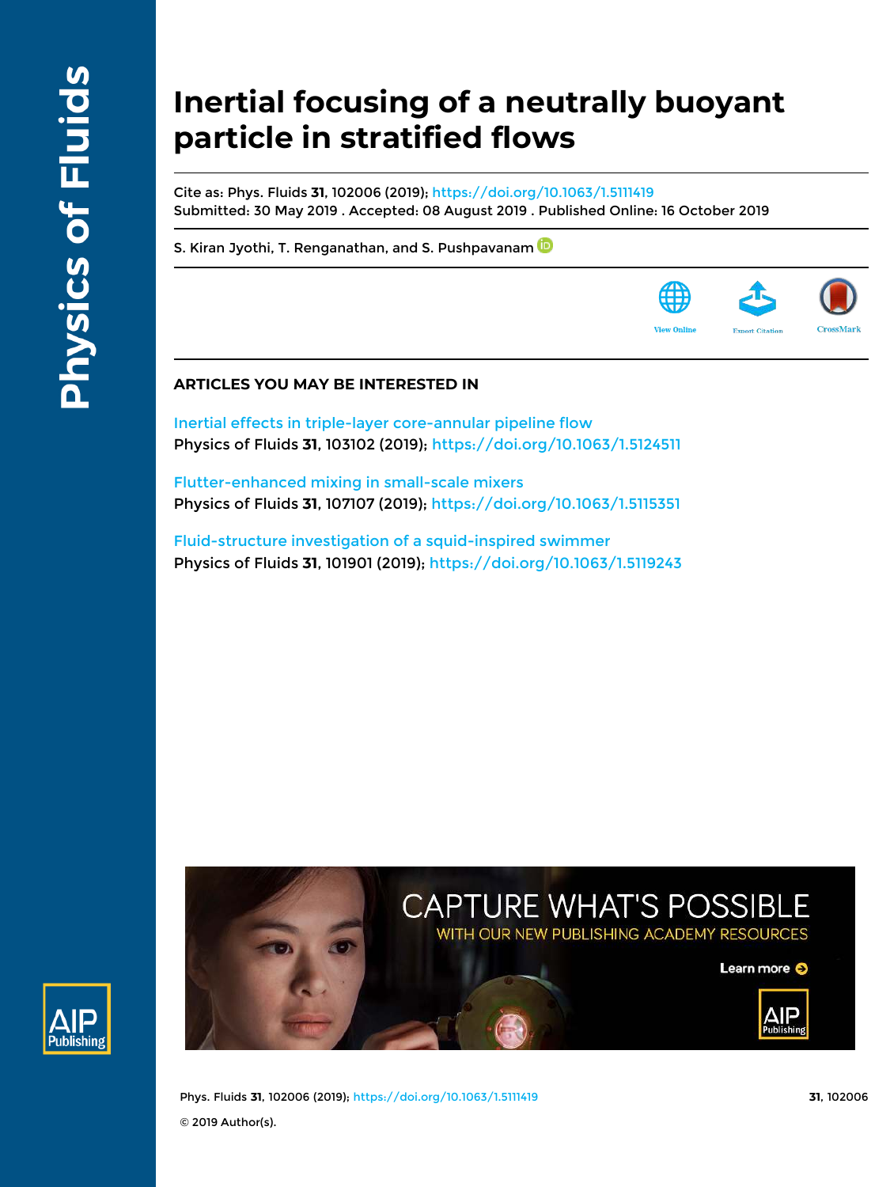ıblishinı

# **Inertial focusing of a neutrally buoyant particle in stratified flows**

Cite as: Phys. Fluids **31**, 102006 (2019); https://doi.org/10.1063/1.5111419 Submitted: 30 May 2019 . Accepted: 08 August 2019 . Published Online: 16 October 2019

S. Kiran Jyothi, T. Renganathan, and S. Pushpavanam



## **ARTICLES YOU MAY BE INTERESTED IN**

Inertial effects in triple-layer core-annular pipeline flow Physics of Fluids **31**, 103102 (2019); https://doi.org/10.1063/1.5124511

Flutter-enhanced mixing in small-scale mixers Physics of Fluids **31**, 107107 (2019); https://doi.org/10.1063/1.5115351

Fluid-structure investigation of a squid-inspired swimmer Physics of Fluids **31**, 101901 (2019); https://doi.org/10.1063/1.5119243



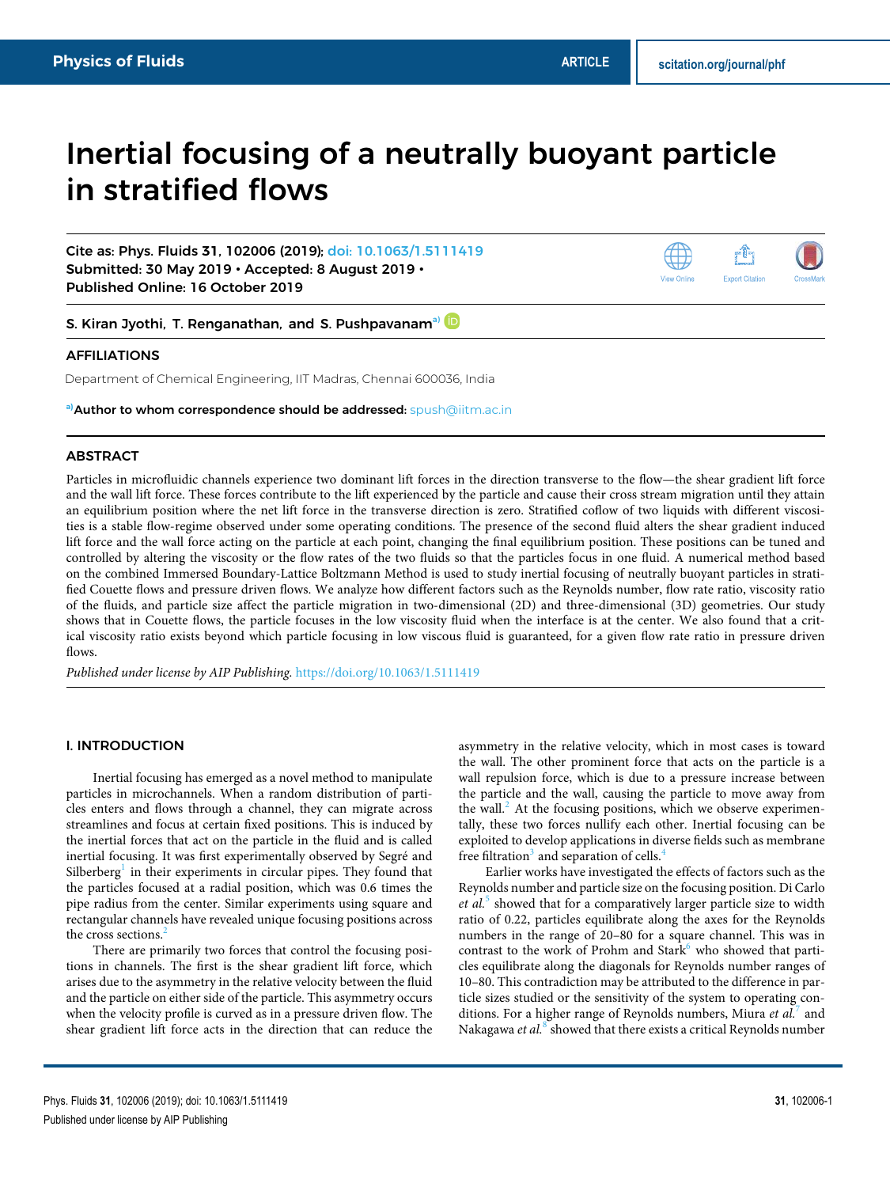## Inertial focusing of a neutrally buoyant particle in stratified flows

Cite as: Phys. Fluids **31**, 102006 (2019); doi: 10.1063/1.5111419 Submitted: 30 May 2019 • Accepted: 8 August 2019 • Published Online: 16 October 2019



S. Kiran Jyothi, T. Renganathan, and S. Pushpavanam<sup>a)</sup>

## AFFILIATIONS

Department of Chemical Engineering, IIT Madras, Chennai 600036, India

**a)**Author to whom correspondence should be addressed: spush@iitm.ac.in

## ABSTRACT

Particles in microfluidic channels experience two dominant lift forces in the direction transverse to the flow—the shear gradient lift force and the wall lift force. These forces contribute to the lift experienced by the particle and cause their cross stream migration until they attain an equilibrium position where the net lift force in the transverse direction is zero. Stratified coflow of two liquids with different viscosities is a stable flow-regime observed under some operating conditions. The presence of the second fluid alters the shear gradient induced lift force and the wall force acting on the particle at each point, changing the final equilibrium position. These positions can be tuned and controlled by altering the viscosity or the flow rates of the two fluids so that the particles focus in one fluid. A numerical method based on the combined Immersed Boundary-Lattice Boltzmann Method is used to study inertial focusing of neutrally buoyant particles in stratified Couette flows and pressure driven flows. We analyze how different factors such as the Reynolds number, flow rate ratio, viscosity ratio of the fluids, and particle size affect the particle migration in two-dimensional (2D) and three-dimensional (3D) geometries. Our study shows that in Couette flows, the particle focuses in the low viscosity fluid when the interface is at the center. We also found that a critical viscosity ratio exists beyond which particle focusing in low viscous fluid is guaranteed, for a given flow rate ratio in pressure driven flows.

*Published under license by AIP Publishing.* https://doi.org/10.1063/1.5111419.,

#### I. INTRODUCTION

Inertial focusing has emerged as a novel method to manipulate particles in microchannels. When a random distribution of particles enters and flows through a channel, they can migrate across streamlines and focus at certain fixed positions. This is induced by the inertial forces that act on the particle in the fluid and is called inertial focusing. It was first experimentally observed by Segré and Silberberg<sup>1</sup> in their experiments in circular pipes. They found that the particles focused at a radial position, which was 0.6 times the pipe radius from the center. Similar experiments using square and rectangular channels have revealed unique focusing positions across the cross sections.<sup>2</sup>

There are primarily two forces that control the focusing positions in channels. The first is the shear gradient lift force, which arises due to the asymmetry in the relative velocity between the fluid and the particle on either side of the particle. This asymmetry occurs when the velocity profile is curved as in a pressure driven flow. The shear gradient lift force acts in the direction that can reduce the asymmetry in the relative velocity, which in most cases is toward the wall. The other prominent force that acts on the particle is a wall repulsion force, which is due to a pressure increase between the particle and the wall, causing the particle to move away from the wall. $\epsilon$  At the focusing positions, which we observe experimentally, these two forces nullify each other. Inertial focusing can be exploited to develop applications in diverse fields such as membrane free filtration<sup>3</sup> and separation of cells.<sup>4</sup>

Earlier works have investigated the effects of factors such as the Reynolds number and particle size on the focusing position. Di Carlo et al.<sup>5</sup> showed that for a comparatively larger particle size to width ratio of 0.22, particles equilibrate along the axes for the Reynolds numbers in the range of 20–80 for a square channel. This was in contrast to the work of Prohm and Stark<sup>6</sup> who showed that particles equilibrate along the diagonals for Reynolds number ranges of 10–80. This contradiction may be attributed to the difference in particle sizes studied or the sensitivity of the system to operating conditions. For a higher range of Reynolds numbers, Miura *et al.*<sup>7</sup> and Nakagawa *et al.<sup>8</sup> showed that there exists a critical Reynolds number*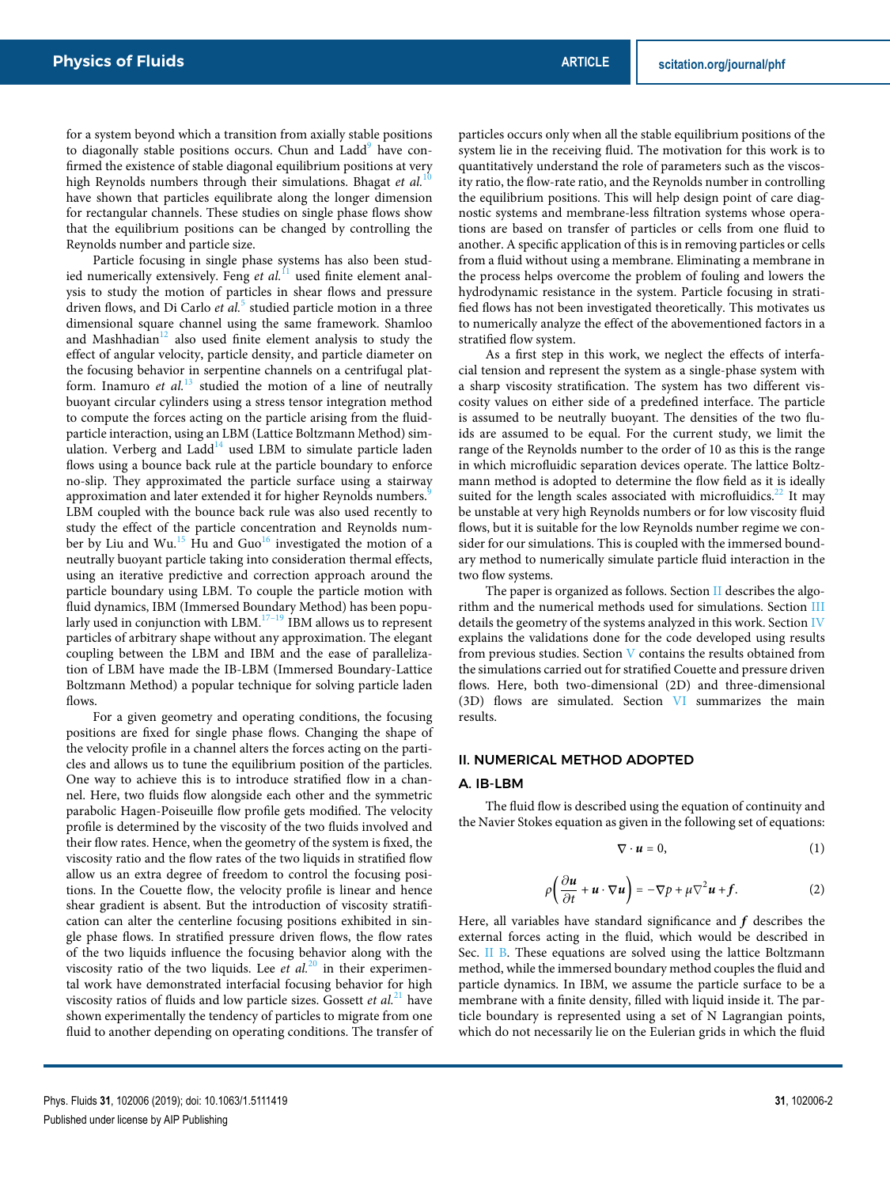for a system beyond which a transition from axially stable positions to diagonally stable positions occurs. Chun and Ladd<sup>9</sup> have confirmed the existence of stable diagonal equilibrium positions at very high Reynolds numbers through their simulations. Bhagat et al.<sup>1</sup> have shown that particles equilibrate along the longer dimension for rectangular channels. These studies on single phase flows show that the equilibrium positions can be changed by controlling the Reynolds number and particle size.

Particle focusing in single phase systems has also been studied numerically extensively. Feng et al.<sup>11</sup> used finite element analysis to study the motion of particles in shear flows and pressure driven flows, and Di Carlo *et al.*<sup>5</sup> studied particle motion in a three dimensional square channel using the same framework. Shamloo and Mashhadian $12$  also used finite element analysis to study the effect of angular velocity, particle density, and particle diameter on the focusing behavior in serpentine channels on a centrifugal platform. Inamuro *et al.*<sup>13</sup> studied the motion of a line of neutrally buoyant circular cylinders using a stress tensor integration method to compute the forces acting on the particle arising from the fluidparticle interaction, using an LBM (Lattice Boltzmann Method) simulation. Verberg and  $Ladd<sup>14</sup>$  used LBM to simulate particle laden flows using a bounce back rule at the particle boundary to enforce no-slip. They approximated the particle surface using a stairway approximation and later extended it for higher Reynolds numbers.<sup>3</sup> LBM coupled with the bounce back rule was also used recently to study the effect of the particle concentration and Reynolds number by Liu and Wu.<sup>15</sup> Hu and Guo<sup>16</sup> investigated the motion of a neutrally buoyant particle taking into consideration thermal effects, using an iterative predictive and correction approach around the particle boundary using LBM. To couple the particle motion with fluid dynamics, IBM (Immersed Boundary Method) has been popularly used in conjunction with LBM. $17-19$  IBM allows us to represent particles of arbitrary shape without any approximation. The elegant coupling between the LBM and IBM and the ease of parallelization of LBM have made the IB-LBM (Immersed Boundary-Lattice Boltzmann Method) a popular technique for solving particle laden flows.

For a given geometry and operating conditions, the focusing positions are fixed for single phase flows. Changing the shape of the velocity profile in a channel alters the forces acting on the particles and allows us to tune the equilibrium position of the particles. One way to achieve this is to introduce stratified flow in a channel. Here, two fluids flow alongside each other and the symmetric parabolic Hagen-Poiseuille flow profile gets modified. The velocity profile is determined by the viscosity of the two fluids involved and their flow rates. Hence, when the geometry of the system is fixed, the viscosity ratio and the flow rates of the two liquids in stratified flow allow us an extra degree of freedom to control the focusing positions. In the Couette flow, the velocity profile is linear and hence shear gradient is absent. But the introduction of viscosity stratification can alter the centerline focusing positions exhibited in single phase flows. In stratified pressure driven flows, the flow rates of the two liquids influence the focusing behavior along with the viscosity ratio of the two liquids. Lee *et al.*<sup>20</sup> in their experimental work have demonstrated interfacial focusing behavior for high viscosity ratios of fluids and low particle sizes. Gossett *et al.*<sup>21</sup> have shown experimentally the tendency of particles to migrate from one fluid to another depending on operating conditions. The transfer of particles occurs only when all the stable equilibrium positions of the system lie in the receiving fluid. The motivation for this work is to quantitatively understand the role of parameters such as the viscosity ratio, the flow-rate ratio, and the Reynolds number in controlling the equilibrium positions. This will help design point of care diagnostic systems and membrane-less filtration systems whose operations are based on transfer of particles or cells from one fluid to another. A specific application of this is in removing particles or cells from a fluid without using a membrane. Eliminating a membrane in the process helps overcome the problem of fouling and lowers the hydrodynamic resistance in the system. Particle focusing in stratified flows has not been investigated theoretically. This motivates us to numerically analyze the effect of the abovementioned factors in a stratified flow system.

As a first step in this work, we neglect the effects of interfacial tension and represent the system as a single-phase system with a sharp viscosity stratification. The system has two different viscosity values on either side of a predefined interface. The particle is assumed to be neutrally buoyant. The densities of the two fluids are assumed to be equal. For the current study, we limit the range of the Reynolds number to the order of 10 as this is the range in which microfluidic separation devices operate. The lattice Boltzmann method is adopted to determine the flow field as it is ideally suited for the length scales associated with microfluidics.<sup>22</sup> It may be unstable at very high Reynolds numbers or for low viscosity fluid flows, but it is suitable for the low Reynolds number regime we consider for our simulations. This is coupled with the immersed boundary method to numerically simulate particle fluid interaction in the two flow systems.

The paper is organized as follows. Section II describes the algorithm and the numerical methods used for simulations. Section III details the geometry of the systems analyzed in this work. Section IV explains the validations done for the code developed using results from previous studies. Section V contains the results obtained from the simulations carried out for stratified Couette and pressure driven flows. Here, both two-dimensional (2D) and three-dimensional (3D) flows are simulated. Section VI summarizes the main results.

## II. NUMERICAL METHOD ADOPTED

## A. IB-LBM

The fluid flow is described using the equation of continuity and the Navier Stokes equation as given in the following set of equations:

$$
\nabla \cdot \boldsymbol{u} = 0, \tag{1}
$$

$$
\rho \bigg( \frac{\partial u}{\partial t} + u \cdot \nabla u \bigg) = -\nabla p + \mu \nabla^2 u + f. \tag{2}
$$

Here, all variables have standard significance and **f** describes the external forces acting in the fluid, which would be described in Sec. II B. These equations are solved using the lattice Boltzmann method, while the immersed boundary method couples the fluid and particle dynamics. In IBM, we assume the particle surface to be a membrane with a finite density, filled with liquid inside it. The particle boundary is represented using a set of N Lagrangian points, which do not necessarily lie on the Eulerian grids in which the fluid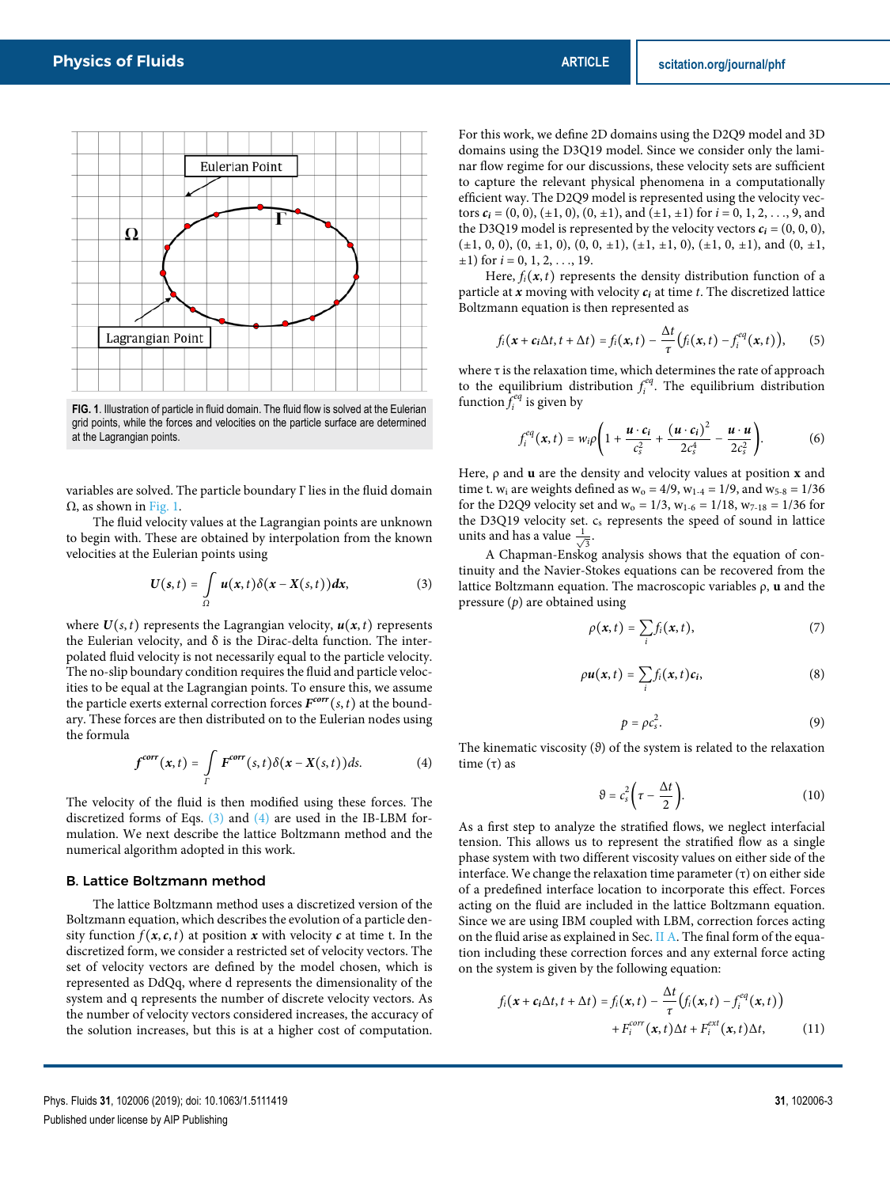

**FIG. 1**. Illustration of particle in fluid domain. The fluid flow is solved at the Eulerian grid points, while the forces and velocities on the particle surface are determined at the Lagrangian points.

variables are solved. The particle boundary Γ lies in the fluid domain  $\Omega$ , as shown in Fig. 1.

The fluid velocity values at the Lagrangian points are unknown to begin with. These are obtained by interpolation from the known velocities at the Eulerian points using

$$
U(s,t)=\int\limits_{\Omega}u(x,t)\delta(x-X(s,t))dx,
$$
\n(3)

where  $U(s, t)$  represents the Lagrangian velocity,  $u(x, t)$  represents the Eulerian velocity, and  $\delta$  is the Dirac-delta function. The interpolated fluid velocity is not necessarily equal to the particle velocity. The no-slip boundary condition requires the fluid and particle velocities to be equal at the Lagrangian points. To ensure this, we assume the particle exerts external correction forces  $F^{corr}(s,t)$  at the boundary. These forces are then distributed on to the Eulerian nodes using the formula

$$
f^{corr}(x,t) = \int\limits_{\Gamma} F^{corr}(s,t) \delta(x - X(s,t)) ds.
$$
 (4)

The velocity of the fluid is then modified using these forces. The discretized forms of Eqs.  $(3)$  and  $(4)$  are used in the IB-LBM formulation. We next describe the lattice Boltzmann method and the numerical algorithm adopted in this work.

#### B. Lattice Boltzmann method

The lattice Boltzmann method uses a discretized version of the Boltzmann equation, which describes the evolution of a particle density function  $f(x, c, t)$  at position **x** with velocity **c** at time t. In the discretized form, we consider a restricted set of velocity vectors. The set of velocity vectors are defined by the model chosen, which is represented as DdQq, where d represents the dimensionality of the system and q represents the number of discrete velocity vectors. As the number of velocity vectors considered increases, the accuracy of the solution increases, but this is at a higher cost of computation. For this work, we define 2D domains using the D2Q9 model and 3D domains using the D3Q19 model. Since we consider only the laminar flow regime for our discussions, these velocity sets are sufficient to capture the relevant physical phenomena in a computationally efficient way. The D2Q9 model is represented using the velocity vectors  $c_i$  = (0, 0), ( $\pm$ 1, 0), (0,  $\pm$ 1), and ( $\pm$ 1,  $\pm$ 1) for  $i$  = 0, 1, 2, ..., 9, and the D3Q19 model is represented by the velocity vectors  $c_i = (0, 0, 0)$ ,  $(\pm 1, 0, 0), (0, \pm 1, 0), (0, 0, \pm 1), (\pm 1, \pm 1, 0), (\pm 1, 0, \pm 1),$  and  $(0, \pm 1, 0)$  $\pm 1$ ) for  $i = 0, 1, 2, \ldots, 19$ .

Here,  $f_i(x, t)$  represents the density distribution function of a particle at  $x$  moving with velocity  $c_i$  at time  $t$ . The discretized lattice Boltzmann equation is then represented as

$$
f_i(\mathbf{x}+\mathbf{c}_i\Delta t, t+\Delta t) = f_i(\mathbf{x},t) - \frac{\Delta t}{\tau}\big(f_i(\mathbf{x},t)-f_i^{eq}(\mathbf{x},t)\big),\qquad(5)
$$

where τ is the relaxation time, which determines the rate of approach to the equilibrium distribution  $f_i^{eq}$ . The equilibrium distribution function  $\hat{f}^{eq}_i$  is given by

$$
f_i^{eq}(\boldsymbol{x},t)=w_i\rho\bigg(1+\frac{\boldsymbol{u}\cdot\boldsymbol{c}_i}{c_s^2}+\frac{(\boldsymbol{u}\cdot\boldsymbol{c}_i)^2}{2c_s^4}-\frac{\boldsymbol{u}\cdot\boldsymbol{u}}{2c_s^2}\bigg). \hspace{1cm} (6)
$$

Here, ρ and **u** are the density and velocity values at position **x** and time t.  $w_i$  are weights defined as  $w_0 = 4/9$ ,  $w_{1-4} = 1/9$ , and  $w_{5-8} = 1/36$ for the D2Q9 velocity set and  $w_0 = 1/3$ ,  $w_{1-6} = 1/18$ ,  $w_{7-18} = 1/36$  for the D3Q19 velocity set.  $c_s$  represents the speed of sound in lattice units and has a value  $\frac{1}{\sqrt{3}}$ .

A Chapman-Enskog analysis shows that the equation of continuity and the Navier-Stokes equations can be recovered from the lattice Boltzmann equation. The macroscopic variables ρ, **u** and the pressure (*p*) are obtained using

$$
\rho(\mathbf{x},t)=\sum_i f_i(\mathbf{x},t),\qquad \qquad (7)
$$

$$
\rho u(x,t) = \sum_i f_i(x,t) c_i, \qquad (8)
$$

$$
p = \rho c_s^2. \tag{9}
$$

The kinematic viscosity (*ϑ*) of the system is related to the relaxation time  $(τ)$  as

$$
\vartheta = c_s^2 \bigg( \tau - \frac{\Delta t}{2} \bigg). \tag{10}
$$

As a first step to analyze the stratified flows, we neglect interfacial tension. This allows us to represent the stratified flow as a single phase system with two different viscosity values on either side of the interface. We change the relaxation time parameter (τ) on either side of a predefined interface location to incorporate this effect. Forces acting on the fluid are included in the lattice Boltzmann equation. Since we are using IBM coupled with LBM, correction forces acting on the fluid arise as explained in Sec. II A. The final form of the equation including these correction forces and any external force acting on the system is given by the following equation:

$$
f_i(\mathbf{x} + c_i \Delta t, t + \Delta t) = f_i(\mathbf{x}, t) - \frac{\Delta t}{\tau} (f_i(\mathbf{x}, t) - f_i^{eq}(\mathbf{x}, t))
$$

$$
+ F_i^{corr}(\mathbf{x}, t) \Delta t + F_i^{ext}(\mathbf{x}, t) \Delta t,
$$
(11)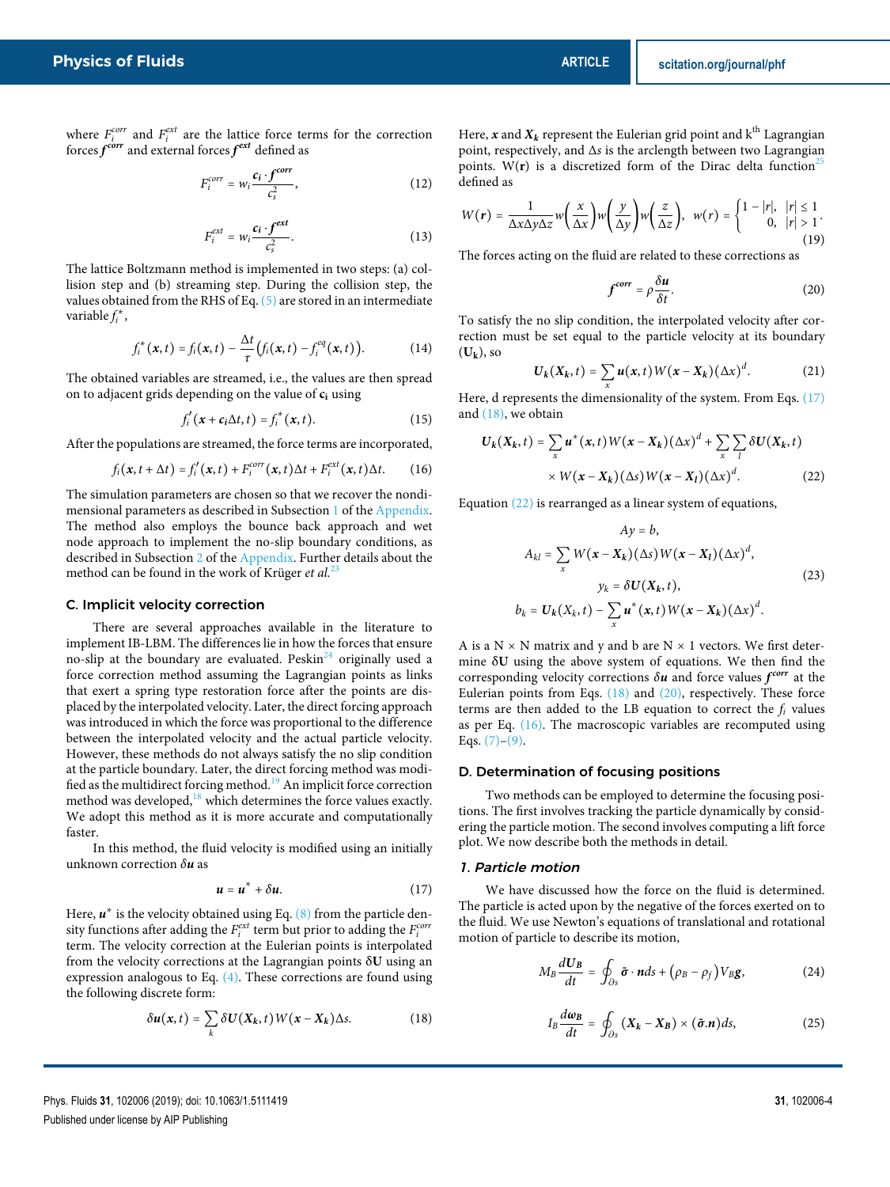where  $F_i^{corr}$  and  $F_i^{ext}$  are the lattice force terms for the correction forces  $f^{corr}$  and external forces  $f^{ext}$  defined as

$$
F_i^{corr} = w_i \frac{c_i \cdot f^{corr}}{c_s^2},\tag{12}
$$

$$
F_i^{ext} = w_i \frac{c_i \cdot f^{ext}}{c_s^2}.
$$
 (13)

The lattice Boltzmann method is implemented in two steps: (a) collision step and (b) streaming step. During the collision step, the values obtained from the RHS of Eq. (5) are stored in an intermediate variable *f* ∗ *i* ,

$$
f_i^*(\mathbf{x}, t) = f_i(\mathbf{x}, t) - \frac{\Delta t}{\tau} (f_i(\mathbf{x}, t) - f_i^{eq}(\mathbf{x}, t)).
$$
 (14)

The obtained variables are streamed, i.e., the values are then spread on to adjacent grids depending on the value of **c<sup>i</sup>** using

$$
f'_i(\mathbf{x} + \mathbf{c}_i \Delta t, t) = f_i^*(\mathbf{x}, t). \tag{15}
$$

After the populations are streamed, the force terms are incorporated,

$$
f_i(\mathbf{x}, t + \Delta t) = f'_i(\mathbf{x}, t) + F_i^{corr}(\mathbf{x}, t) \Delta t + F_i^{ext}(\mathbf{x}, t) \Delta t.
$$
 (16)

The simulation parameters are chosen so that we recover the nondimensional parameters as described in Subsection 1 of the Appendix. The method also employs the bounce back approach and wet node approach to implement the no-slip boundary conditions, as described in Subsection 2 of the Appendix. Further details about the method can be found in the work of Krüger *et al.*<sup>23</sup>

#### C. Implicit velocity correction

There are several approaches available in the literature to implement IB-LBM. The differences lie in how the forces that ensure no-slip at the boundary are evaluated. Peskin $^{24}$  originally used a force correction method assuming the Lagrangian points as links that exert a spring type restoration force after the points are displaced by the interpolated velocity. Later, the direct forcing approach was introduced in which the force was proportional to the difference between the interpolated velocity and the actual particle velocity. However, these methods do not always satisfy the no slip condition at the particle boundary. Later, the direct forcing method was modified as the multidirect forcing method.<sup>19</sup> An implicit force correction method was developed, $18$  which determines the force values exactly. We adopt this method as it is more accurate and computationally faster.

In this method, the fluid velocity is modified using an initially unknown correction *δ***u** as

$$
u = u^* + \delta u. \tag{17}
$$

Here,  $\boldsymbol{u}^*$  is the velocity obtained using Eq. (8) from the particle density functions after adding the  $F_i^{ext}$  term but prior to adding the  $F_i^{corr}$ term. The velocity correction at the Eulerian points is interpolated from the velocity corrections at the Lagrangian points δ**U** using an expression analogous to Eq. (4). These corrections are found using the following discrete form:

$$
\delta u(x,t) = \sum_{k} \delta U(X_k,t) W(x-X_k) \Delta s. \tag{18}
$$

Here,  $x$  and  $X_k$  represent the Eulerian grid point and  $k<sup>th</sup>$  Lagrangian point, respectively, and Δ*s* is the arclength between two Lagrangian points. W( $r$ ) is a discretized form of the Dirac delta function<sup>2</sup> defined as

$$
W(r) = \frac{1}{\Delta x \Delta y \Delta z} w\left(\frac{x}{\Delta x}\right) w\left(\frac{y}{\Delta y}\right) w\left(\frac{z}{\Delta z}\right), \quad w(r) = \begin{cases} 1 - |r|, & |r| \le 1 \\ 0, & |r| > 1 \end{cases}.
$$
\n(19)

The forces acting on the fluid are related to these corrections as

$$
f^{corr} = \rho \frac{\delta u}{\delta t}.
$$
 (20)

To satisfy the no slip condition, the interpolated velocity after correction must be set equal to the particle velocity at its boundary  $(U_k)$ , so

$$
\boldsymbol{U}_k(\boldsymbol{X}_k,t)=\sum_{\boldsymbol{x}}\boldsymbol{u}(\boldsymbol{x},t)\,\boldsymbol{W}(\boldsymbol{x}-\boldsymbol{X}_k)\,(\Delta\boldsymbol{x})^d.\tag{21}
$$

Here, d represents the dimensionality of the system. From Eqs. (17) and (18), we obtain

$$
U_k(X_k,t) = \sum_x u^*(x,t)W(x-X_k)(\Delta x)^d + \sum_x \sum_l \delta U(X_k,t)
$$
  
 
$$
\times W(x-X_k)(\Delta s)W(x-X_l)(\Delta x)^d.
$$
 (22)

Equation (22) is rearranged as a linear system of equations,

$$
Ay = b,
$$
  
\n
$$
Ay = 2,
$$
  
\n
$$
A_{kl} = \sum_{x} W(\mathbf{x} - \mathbf{X}_k)(\Delta s) W(\mathbf{x} - \mathbf{X}_l)(\Delta x)^d,
$$
  
\n
$$
y_k = \delta U(\mathbf{X}_k, t),
$$
  
\n
$$
b_k = U_k(X_k, t) - \sum_{x} \mathbf{u}^*(\mathbf{x}, t) W(\mathbf{x} - \mathbf{X}_k)(\Delta x)^d.
$$
\n(23)

A is a  $N \times N$  matrix and y and b are  $N \times 1$  vectors. We first determine δ**U** using the above system of equations. We then find the corresponding velocity corrections *δ***u** and force values **f corr** at the Eulerian points from Eqs. (18) and (20), respectively. These force terms are then added to the LB equation to correct the *f<sup>i</sup>* values as per Eq. (16). The macroscopic variables are recomputed using Eqs.  $(7)-(9)$ .

#### D. Determination of focusing positions

Two methods can be employed to determine the focusing positions. The first involves tracking the particle dynamically by considering the particle motion. The second involves computing a lift force plot. We now describe both the methods in detail.

## 1. Particle motion

We have discussed how the force on the fluid is determined. The particle is acted upon by the negative of the forces exerted on to the fluid. We use Newton's equations of translational and rotational motion of particle to describe its motion,

$$
M_B \frac{dU_B}{dt} = \oint_{\partial s} \tilde{\boldsymbol{\sigma}} \cdot \boldsymbol{n} ds + (\rho_B - \rho_f) V_B \boldsymbol{g},
$$
 (24)

$$
I_B \frac{d\omega_B}{dt} = \oint_{\partial s} \left( \mathbf{X}_k - \mathbf{X}_B \right) \times (\tilde{\boldsymbol{\sigma}}.\boldsymbol{n}) ds, \tag{25}
$$

Phys. Fluids **31**, 102006 (2019); doi: 10.1063/1.5111419 **31**, 102006-4 Published under license by AIP Publishing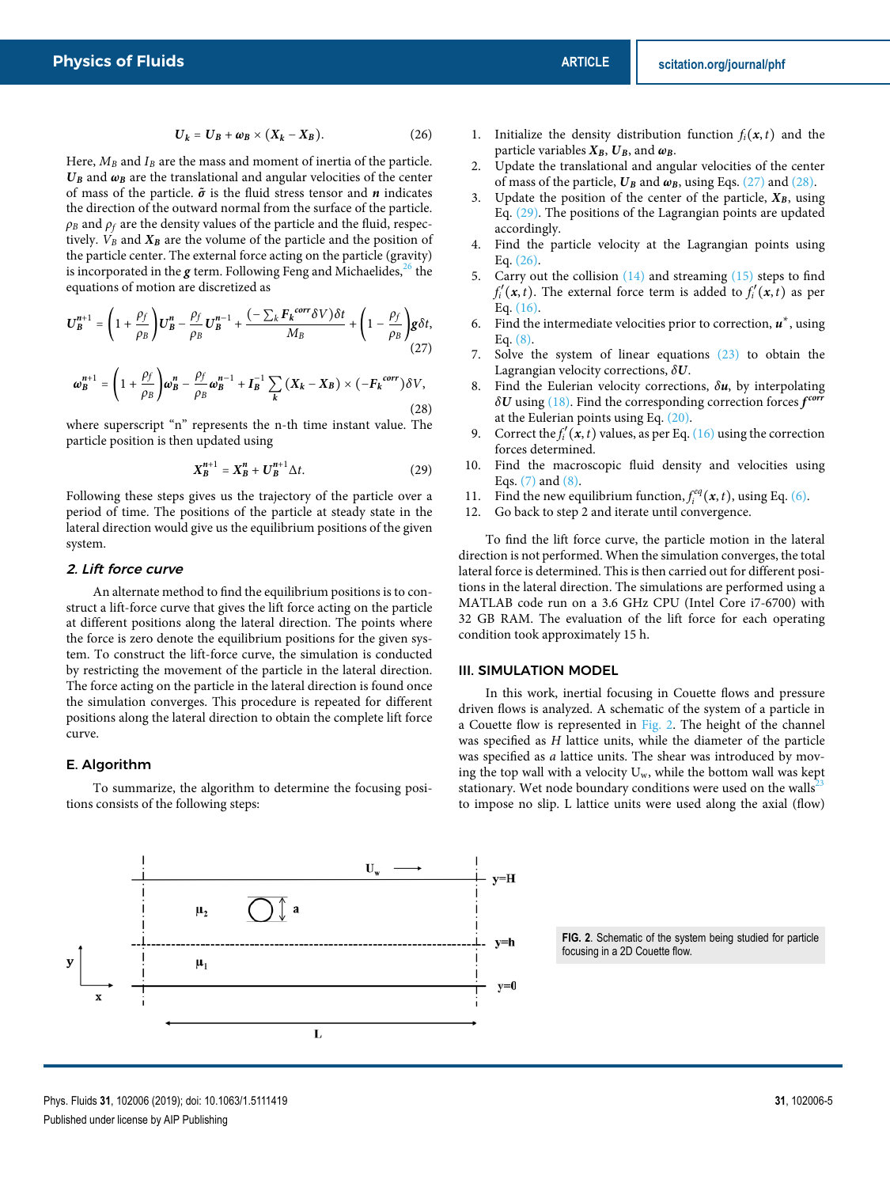$$
U_k = U_B + \omega_B \times (X_k - X_B). \tag{26}
$$

Here,  $M_B$  and  $I_B$  are the mass and moment of inertia of the particle.  $U_B$  and  $\omega_B$  are the translational and angular velocities of the center of mass of the particle.  $\tilde{\sigma}$  is the fluid stress tensor and  $n$  indicates the direction of the outward normal from the surface of the particle.  $\rho_B$  and  $\rho_f$  are the density values of the particle and the fluid, respectively.  $V_B$  and  $X_B$  are the volume of the particle and the position of the particle center. The external force acting on the particle (gravity) is incorporated in the  $g$  term. Following Feng and Michaelides,<sup>26</sup> the equations of motion are discretized as

$$
\boldsymbol{U}_{\boldsymbol{B}}^{n+1} = \left(1 + \frac{\rho_f}{\rho_B}\right)\boldsymbol{U}_{\boldsymbol{B}}^n - \frac{\rho_f}{\rho_B}\boldsymbol{U}_{\boldsymbol{B}}^{n-1} + \frac{\left(-\sum_k \boldsymbol{F}_k^{\text{corr}} \delta V\right) \delta t}{M_B} + \left(1 - \frac{\rho_f}{\rho_B}\right) \boldsymbol{g} \delta t,\tag{27}
$$

$$
\omega_B^{n+1} = \left(1 + \frac{\rho_f}{\rho_B}\right)\omega_B^n - \frac{\rho_f}{\rho_B}\omega_B^{n-1} + I_B^{-1} \sum_k \left(X_k - X_B\right) \times \left(-F_k^{corr}\right)\delta V,\tag{28}
$$

where superscript "n" represents the n-th time instant value. The particle position is then updated using

$$
X_B^{n+1} = X_B^n + U_B^{n+1} \Delta t. \tag{29}
$$

Following these steps gives us the trajectory of the particle over a period of time. The positions of the particle at steady state in the lateral direction would give us the equilibrium positions of the given system.

#### 2. Lift force curve

An alternate method to find the equilibrium positions is to construct a lift-force curve that gives the lift force acting on the particle at different positions along the lateral direction. The points where the force is zero denote the equilibrium positions for the given system. To construct the lift-force curve, the simulation is conducted by restricting the movement of the particle in the lateral direction. The force acting on the particle in the lateral direction is found once the simulation converges. This procedure is repeated for different positions along the lateral direction to obtain the complete lift force curve.

## E. Algorithm

To summarize, the algorithm to determine the focusing positions consists of the following steps:

- 1. Initialize the density distribution function  $f_i(x, t)$  and the particle variables  $X_B$ ,  $U_B$ , and  $\omega_B$ .
- 2. Update the translational and angular velocities of the center of mass of the particle,  $U_B$  and  $\omega_B$ , using Eqs. (27) and (28).
- Update the position of the center of the particle,  $X_B$ , using Eq. (29). The positions of the Lagrangian points are updated accordingly.
- Find the particle velocity at the Lagrangian points using Eq. (26).
- 5. Carry out the collision  $(14)$  and streaming  $(15)$  steps to find  $f'_{i}(x,t)$ . The external force term is added to  $f'_{i}(x,t)$  as per Eq. (16).
- 6. Find the intermediate velocities prior to correction, **u** ∗ , using Eq.  $(8)$ .
- 7. Solve the system of linear equations (23) to obtain the Lagrangian velocity corrections, *δ***U**.
- 8. Find the Eulerian velocity corrections, *δ***u**, by interpolating *δ***U** using (18). Find the corresponding correction forces **f corr** at the Eulerian points using Eq. (20).
- 9. Correct the  $f'_i(x, t)$  values, as per Eq. (16) using the correction forces determined.
- 10. Find the macroscopic fluid density and velocities using Eqs.  $(7)$  and  $(8)$ .
- 11. Find the new equilibrium function,  $f_i^{eq}(x, t)$ , using Eq. (6).
- 12. Go back to step 2 and iterate until convergence.

To find the lift force curve, the particle motion in the lateral direction is not performed. When the simulation converges, the total lateral force is determined. This is then carried out for different positions in the lateral direction. The simulations are performed using a MATLAB code run on a 3.6 GHz CPU (Intel Core i7-6700) with 32 GB RAM. The evaluation of the lift force for each operating condition took approximately 15 h.

## III. SIMULATION MODEL

In this work, inertial focusing in Couette flows and pressure driven flows is analyzed. A schematic of the system of a particle in a Couette flow is represented in Fig. 2. The height of the channel was specified as *H* lattice units, while the diameter of the particle was specified as *a* lattice units. The shear was introduced by moving the top wall with a velocity  $U_w$ , while the bottom wall was kept stationary. Wet node boundary conditions were used on the walls $2<sup>2</sup>$ to impose no slip. L lattice units were used along the axial (flow)



**FIG. 2**. Schematic of the system being studied for particle focusing in a 2D Couette flow.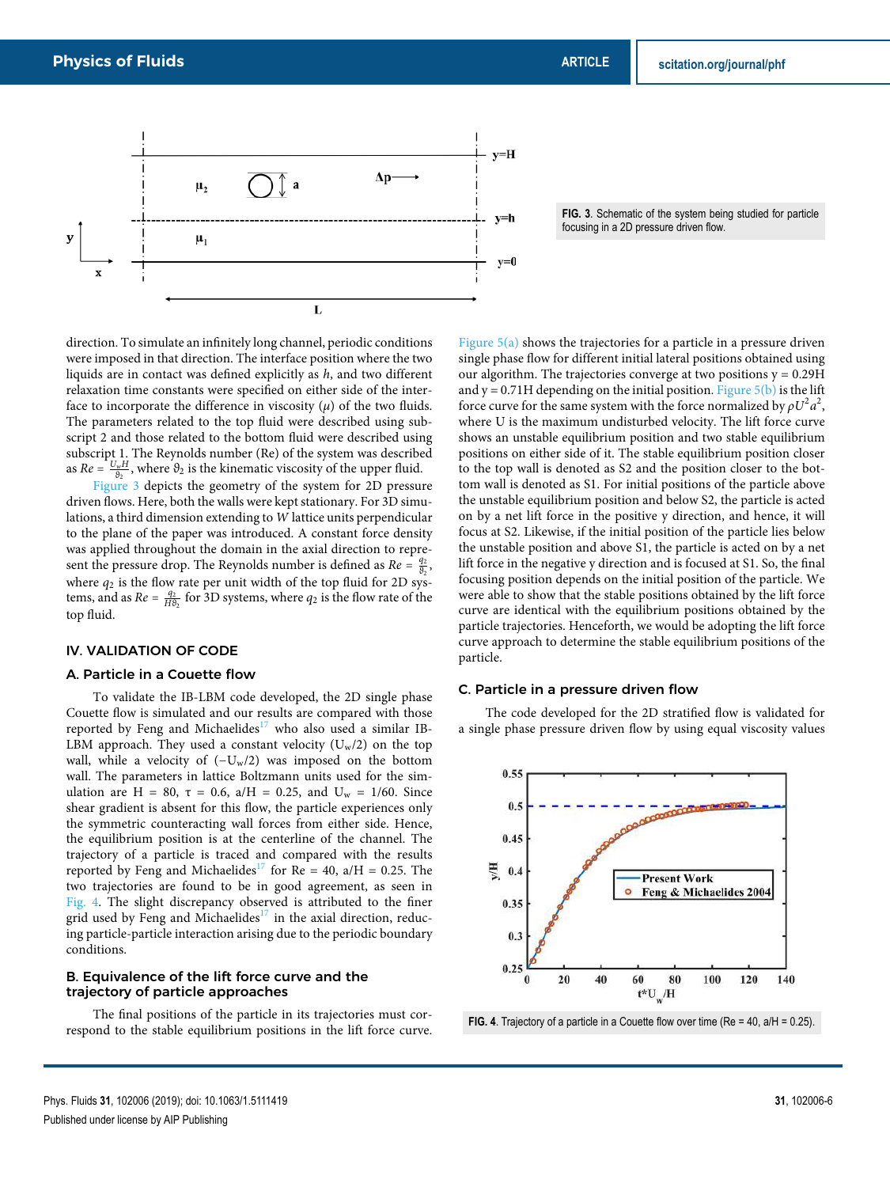



direction. To simulate an infinitely long channel, periodic conditions were imposed in that direction. The interface position where the two liquids are in contact was defined explicitly as *h*, and two different relaxation time constants were specified on either side of the interface to incorporate the difference in viscosity  $(\mu)$  of the two fluids. The parameters related to the top fluid were described using subscript 2 and those related to the bottom fluid were described using subscript 1. The Reynolds number (Re) of the system was described as  $Re = \frac{U_w H}{\vartheta_2}$ , where  $\vartheta_2$  is the kinematic viscosity of the upper fluid.

Figure 3 depicts the geometry of the system for 2D pressure driven flows. Here, both the walls were kept stationary. For 3D simulations, a third dimension extending to *W* lattice units perpendicular to the plane of the paper was introduced. A constant force density was applied throughout the domain in the axial direction to represent the pressure drop. The Reynolds number is defined as  $Re = \frac{q_2}{\vartheta_2}$ , where  $q_2$  is the flow rate per unit width of the top fluid for 2D systems, and as  $Re = \frac{q_2}{H \theta_2}$  for 3D systems, where  $q_2$  is the flow rate of the top fluid.

## IV. VALIDATION OF CODE

## A. Particle in a Couette flow

To validate the IB-LBM code developed, the 2D single phase Couette flow is simulated and our results are compared with those reported by Feng and Michaelides $17$  who also used a similar IB-LBM approach. They used a constant velocity  $(U_w/2)$  on the top wall, while a velocity of  $(-U_w/2)$  was imposed on the bottom wall. The parameters in lattice Boltzmann units used for the simulation are H = 80, τ = 0.6, a/H = 0.25, and  $U_w = 1/60$ . Since shear gradient is absent for this flow, the particle experiences only the symmetric counteracting wall forces from either side. Hence, the equilibrium position is at the centerline of the channel. The trajectory of a particle is traced and compared with the results reported by Feng and Michaelides<sup>17</sup> for Re = 40, a/H = 0.25. The two trajectories are found to be in good agreement, as seen in Fig. 4. The slight discrepancy observed is attributed to the finer grid used by Feng and Michaelides<sup>17</sup> in the axial direction, reducing particle-particle interaction arising due to the periodic boundary conditions.

#### B. Equivalence of the lift force curve and the trajectory of particle approaches

The final positions of the particle in its trajectories must correspond to the stable equilibrium positions in the lift force curve.

Figure  $5(a)$  shows the trajectories for a particle in a pressure driven single phase flow for different initial lateral positions obtained using our algorithm. The trajectories converge at two positions  $y = 0.29H$ and  $y = 0.71H$  depending on the initial position. Figure 5(b) is the lift force curve for the same system with the force normalized by  $\rho U^2 a^2$ , where U is the maximum undisturbed velocity. The lift force curve shows an unstable equilibrium position and two stable equilibrium positions on either side of it. The stable equilibrium position closer to the top wall is denoted as S2 and the position closer to the bottom wall is denoted as S1. For initial positions of the particle above the unstable equilibrium position and below S2, the particle is acted on by a net lift force in the positive y direction, and hence, it will focus at S2. Likewise, if the initial position of the particle lies below the unstable position and above S1, the particle is acted on by a net lift force in the negative y direction and is focused at S1. So, the final focusing position depends on the initial position of the particle. We were able to show that the stable positions obtained by the lift force curve are identical with the equilibrium positions obtained by the particle trajectories. Henceforth, we would be adopting the lift force curve approach to determine the stable equilibrium positions of the particle.

## C. Particle in a pressure driven flow

The code developed for the 2D stratified flow is validated for a single phase pressure driven flow by using equal viscosity values



**FIG. 4**. Trajectory of a particle in a Couette flow over time (Re = 40, a/H = 0.25).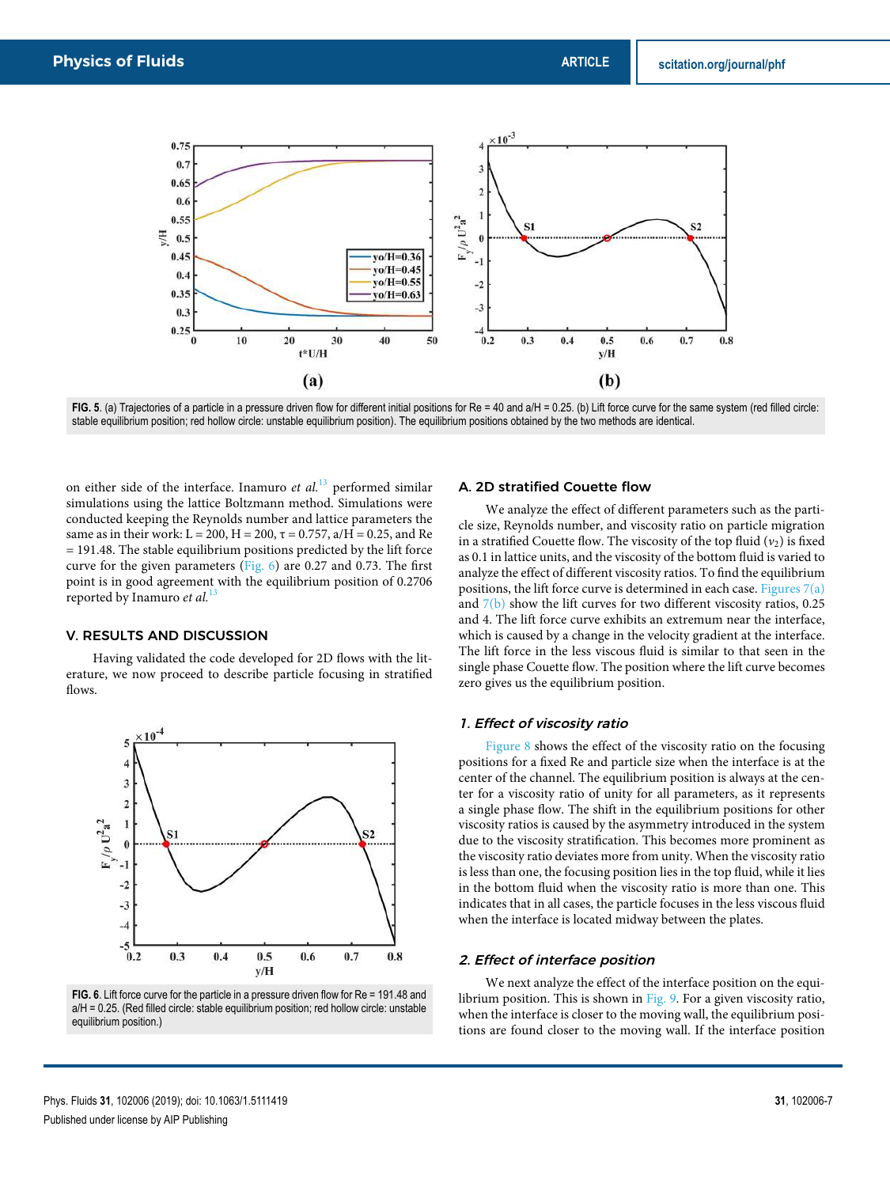

FIG. 5. (a) Trajectories of a particle in a pressure driven flow for different initial positions for Re = 40 and a/H = 0.25. (b) Lift force curve for the same system (red filled circle: stable equilibrium position; red hollow circle: unstable equilibrium position). The equilibrium positions obtained by the two methods are identical.

on either side of the interface. Inamuro *et al.*<sup>13</sup> performed similar simulations using the lattice Boltzmann method. Simulations were conducted keeping the Reynolds number and lattice parameters the same as in their work:  $L = 200$ ,  $H = 200$ ,  $\tau = 0.757$ ,  $a/H = 0.25$ , and Re  $= 191.48$ . The stable equilibrium positions predicted by the lift force curve for the given parameters (Fig.  $6$ ) are 0.27 and 0.73. The first point is in good agreement with the equilibrium position of 0.2706 reported by Inamuro *et al.*<sup>13</sup>

## V. RESULTS AND DISCUSSION

Having validated the code developed for 2D flows with the literature, we now proceed to describe particle focusing in stratified flows.



**FIG. 6**. Lift force curve for the particle in a pressure driven flow for Re = 191.48 and a/H = 0.25. (Red filled circle: stable equilibrium position; red hollow circle: unstable equilibrium position.)

### A. 2D stratified Couette flow

We analyze the effect of different parameters such as the particle size, Reynolds number, and viscosity ratio on particle migration in a stratified Couette flow. The viscosity of the top fluid (*ν*<sub>2</sub>) is fixed as 0.1 in lattice units, and the viscosity of the bottom fluid is varied to analyze the effect of different viscosity ratios. To find the equilibrium positions, the lift force curve is determined in each case. Figures  $7(a)$ and  $7(b)$  show the lift curves for two different viscosity ratios, 0.25 and 4. The lift force curve exhibits an extremum near the interface, which is caused by a change in the velocity gradient at the interface. The lift force in the less viscous fluid is similar to that seen in the single phase Couette flow. The position where the lift curve becomes zero gives us the equilibrium position.

## 1. Effect of viscosity ratio

Figure 8 shows the effect of the viscosity ratio on the focusing positions for a fixed Re and particle size when the interface is at the center of the channel. The equilibrium position is always at the center for a viscosity ratio of unity for all parameters, as it represents a single phase flow. The shift in the equilibrium positions for other viscosity ratios is caused by the asymmetry introduced in the system due to the viscosity stratification. This becomes more prominent as the viscosity ratio deviates more from unity. When the viscosity ratio is less than one, the focusing position lies in the top fluid, while it lies in the bottom fluid when the viscosity ratio is more than one. This indicates that in all cases, the particle focuses in the less viscous fluid when the interface is located midway between the plates.

#### 2. Effect of interface position

We next analyze the effect of the interface position on the equilibrium position. This is shown in Fig. 9. For a given viscosity ratio, when the interface is closer to the moving wall, the equilibrium positions are found closer to the moving wall. If the interface position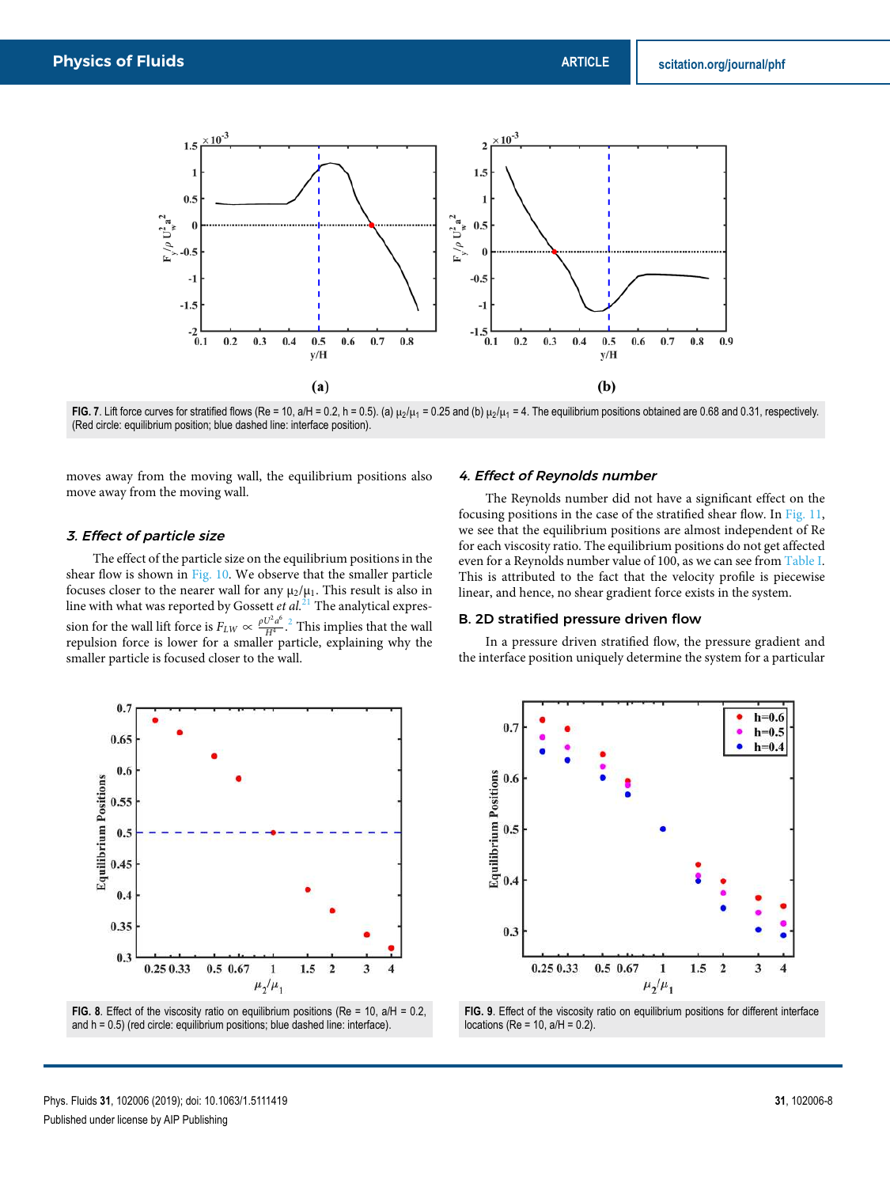

**FIG. 7**. Lift force curves for stratified flows (Re = 10, a/H = 0.2, h = 0.5). (a)  $\mu_2/\mu_1$  = 0.25 and (b)  $\mu_2/\mu_1$  = 4. The equilibrium positions obtained are 0.68 and 0.31, respectively. (Red circle: equilibrium position; blue dashed line: interface position).

moves away from the moving wall, the equilibrium positions also move away from the moving wall.

## 3. Effect of particle size

The effect of the particle size on the equilibrium positions in the shear flow is shown in Fig. 10. We observe that the smaller particle focuses closer to the nearer wall for any  $\mu_2/\mu_1$ . This result is also in line with what was reported by Gossett *et al.*<sup>21</sup> The analytical expression for the wall lift force is  $F_{LW} \propto \frac{\rho U^2 a^6}{H^4}$  $\frac{U^2 a^6}{H^4}$ <sup>2</sup>. This implies that the wall repulsion force is lower for a smaller particle, explaining why the smaller particle is focused closer to the wall.





#### 4. Effect of Reynolds number

The Reynolds number did not have a significant effect on the focusing positions in the case of the stratified shear flow. In Fig. 11, we see that the equilibrium positions are almost independent of Re for each viscosity ratio. The equilibrium positions do not get affected even for a Reynolds number value of 100, as we can see from Table I. This is attributed to the fact that the velocity profile is piecewise linear, and hence, no shear gradient force exists in the system.

## B. 2D stratified pressure driven flow

In a pressure driven stratified flow, the pressure gradient and the interface position uniquely determine the system for a particular



**FIG. 9**. Effect of the viscosity ratio on equilibrium positions for different interface locations (Re = 10,  $a/H = 0.2$ ).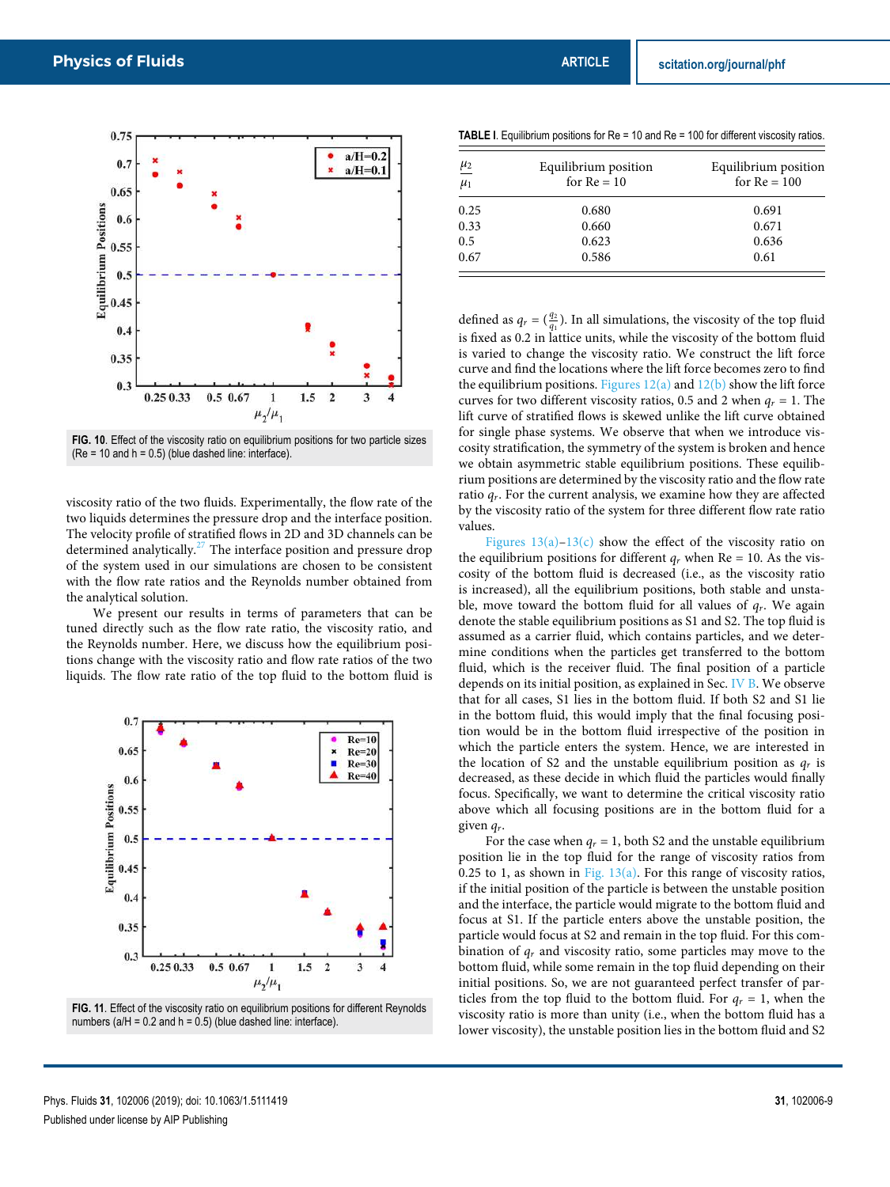

**FIG. 10**. Effect of the viscosity ratio on equilibrium positions for two particle sizes  $(Re = 10$  and  $h = 0.5)$  (blue dashed line: interface).

viscosity ratio of the two fluids. Experimentally, the flow rate of the two liquids determines the pressure drop and the interface position. The velocity profile of stratified flows in 2D and 3D channels can be determined analytically.<sup>27</sup> The interface position and pressure drop of the system used in our simulations are chosen to be consistent with the flow rate ratios and the Reynolds number obtained from the analytical solution.

We present our results in terms of parameters that can be tuned directly such as the flow rate ratio, the viscosity ratio, and the Reynolds number. Here, we discuss how the equilibrium positions change with the viscosity ratio and flow rate ratios of the two liquids. The flow rate ratio of the top fluid to the bottom fluid is



**FIG. 11**. Effect of the viscosity ratio on equilibrium positions for different Reynolds numbers ( $a/H = 0.2$  and  $h = 0.5$ ) (blue dashed line: interface).

**TABLE I.** Equilibrium positions for Re = 10 and Re = 100 for different viscosity ratios.

| $\frac{\mu_2}{\mu_1}$ | Equilibrium position<br>for $Re = 10$ | Equilibrium position<br>for $Re = 100$ |
|-----------------------|---------------------------------------|----------------------------------------|
| 0.25                  | 0.680                                 | 0.691                                  |
| 0.33                  | 0.660                                 | 0.671                                  |
| 0.5                   | 0.623                                 | 0.636                                  |
| 0.67                  | 0.586                                 | 0.61                                   |

defined as  $q_r = \left(\frac{q_2}{q_1}\right)$ . In all simulations, the viscosity of the top fluid is fixed as 0.2 in lattice units, while the viscosity of the bottom fluid is varied to change the viscosity ratio. We construct the lift force curve and find the locations where the lift force becomes zero to find the equilibrium positions. Figures  $12(a)$  and  $12(b)$  show the lift force curves for two different viscosity ratios, 0.5 and 2 when  $q_r = 1$ . The lift curve of stratified flows is skewed unlike the lift curve obtained for single phase systems. We observe that when we introduce viscosity stratification, the symmetry of the system is broken and hence we obtain asymmetric stable equilibrium positions. These equilibrium positions are determined by the viscosity ratio and the flow rate ratio *qr*. For the current analysis, we examine how they are affected by the viscosity ratio of the system for three different flow rate ratio values.

Figures  $13(a)-13(c)$  show the effect of the viscosity ratio on the equilibrium positions for different  $q_r$  when Re = 10. As the viscosity of the bottom fluid is decreased (i.e., as the viscosity ratio is increased), all the equilibrium positions, both stable and unstable, move toward the bottom fluid for all values of *qr*. We again denote the stable equilibrium positions as S1 and S2. The top fluid is assumed as a carrier fluid, which contains particles, and we determine conditions when the particles get transferred to the bottom fluid, which is the receiver fluid. The final position of a particle depends on its initial position, as explained in Sec. IV B. We observe that for all cases, S1 lies in the bottom fluid. If both S2 and S1 lie in the bottom fluid, this would imply that the final focusing position would be in the bottom fluid irrespective of the position in which the particle enters the system. Hence, we are interested in the location of S2 and the unstable equilibrium position as  $q_r$  is decreased, as these decide in which fluid the particles would finally focus. Specifically, we want to determine the critical viscosity ratio above which all focusing positions are in the bottom fluid for a given *qr*.

For the case when  $q_r = 1$ , both S2 and the unstable equilibrium position lie in the top fluid for the range of viscosity ratios from 0.25 to 1, as shown in Fig.  $13(a)$ . For this range of viscosity ratios, if the initial position of the particle is between the unstable position and the interface, the particle would migrate to the bottom fluid and focus at S1. If the particle enters above the unstable position, the particle would focus at S2 and remain in the top fluid. For this combination of *q<sup>r</sup>* and viscosity ratio, some particles may move to the bottom fluid, while some remain in the top fluid depending on their initial positions. So, we are not guaranteed perfect transfer of particles from the top fluid to the bottom fluid. For  $q_r = 1$ , when the viscosity ratio is more than unity (i.e., when the bottom fluid has a lower viscosity), the unstable position lies in the bottom fluid and S2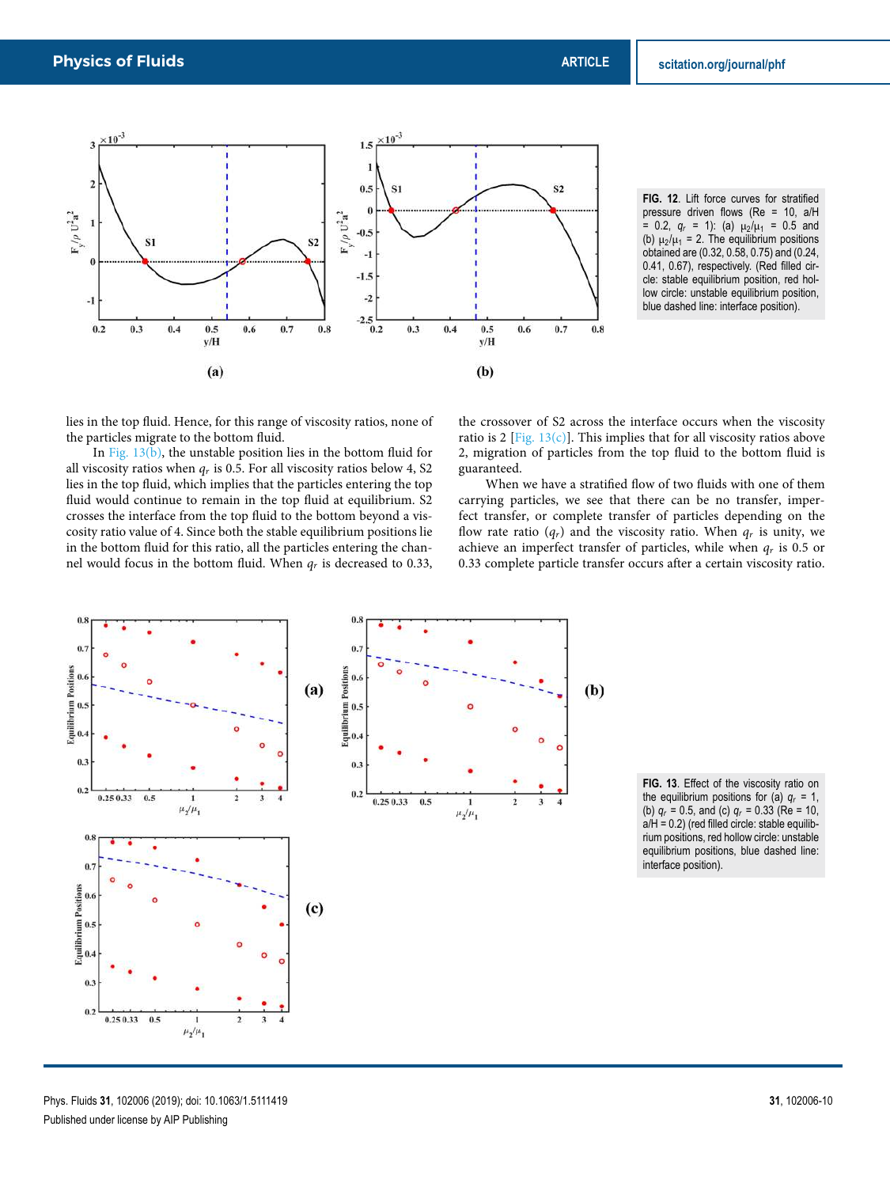

**FIG. 12**. Lift force curves for stratified pressure driven flows (Re = 10, a/H  $= 0.2$ ,  $q_r = 1$ ): (a)  $\mu_2/\mu_1 = 0.5$  and (b)  $\mu_2/\mu_1 = 2$ . The equilibrium positions obtained are (0.32, 0.58, 0.75) and (0.24, 0.41, 0.67), respectively. (Red filled circle: stable equilibrium position, red hollow circle: unstable equilibrium position, blue dashed line: interface position).

lies in the top fluid. Hence, for this range of viscosity ratios, none of the particles migrate to the bottom fluid.

In Fig.  $13(b)$ , the unstable position lies in the bottom fluid for all viscosity ratios when *q<sup>r</sup>* is 0.5. For all viscosity ratios below 4, S2 lies in the top fluid, which implies that the particles entering the top fluid would continue to remain in the top fluid at equilibrium. S2 crosses the interface from the top fluid to the bottom beyond a viscosity ratio value of 4. Since both the stable equilibrium positions lie in the bottom fluid for this ratio, all the particles entering the channel would focus in the bottom fluid. When *q<sup>r</sup>* is decreased to 0.33,

the crossover of S2 across the interface occurs when the viscosity ratio is 2 [Fig.  $13(c)$ ]. This implies that for all viscosity ratios above 2, migration of particles from the top fluid to the bottom fluid is guaranteed.

When we have a stratified flow of two fluids with one of them carrying particles, we see that there can be no transfer, imperfect transfer, or complete transfer of particles depending on the flow rate ratio  $(q_r)$  and the viscosity ratio. When  $q_r$  is unity, we achieve an imperfect transfer of particles, while when *q<sup>r</sup>* is 0.5 or 0.33 complete particle transfer occurs after a certain viscosity ratio.



**FIG. 13**. Effect of the viscosity ratio on the equilibrium positions for (a)  $q_r = 1$ , (b)  $q_r = 0.5$ , and (c)  $q_r = 0.33$  (Re = 10, a/H = 0.2) (red filled circle: stable equilibrium positions, red hollow circle: unstable equilibrium positions, blue dashed line: interface position).

Phys. Fluids **31**, 102006 (2019); doi: 10.1063/1.5111419 **31**, 102006-10 Published under license by AIP Publishing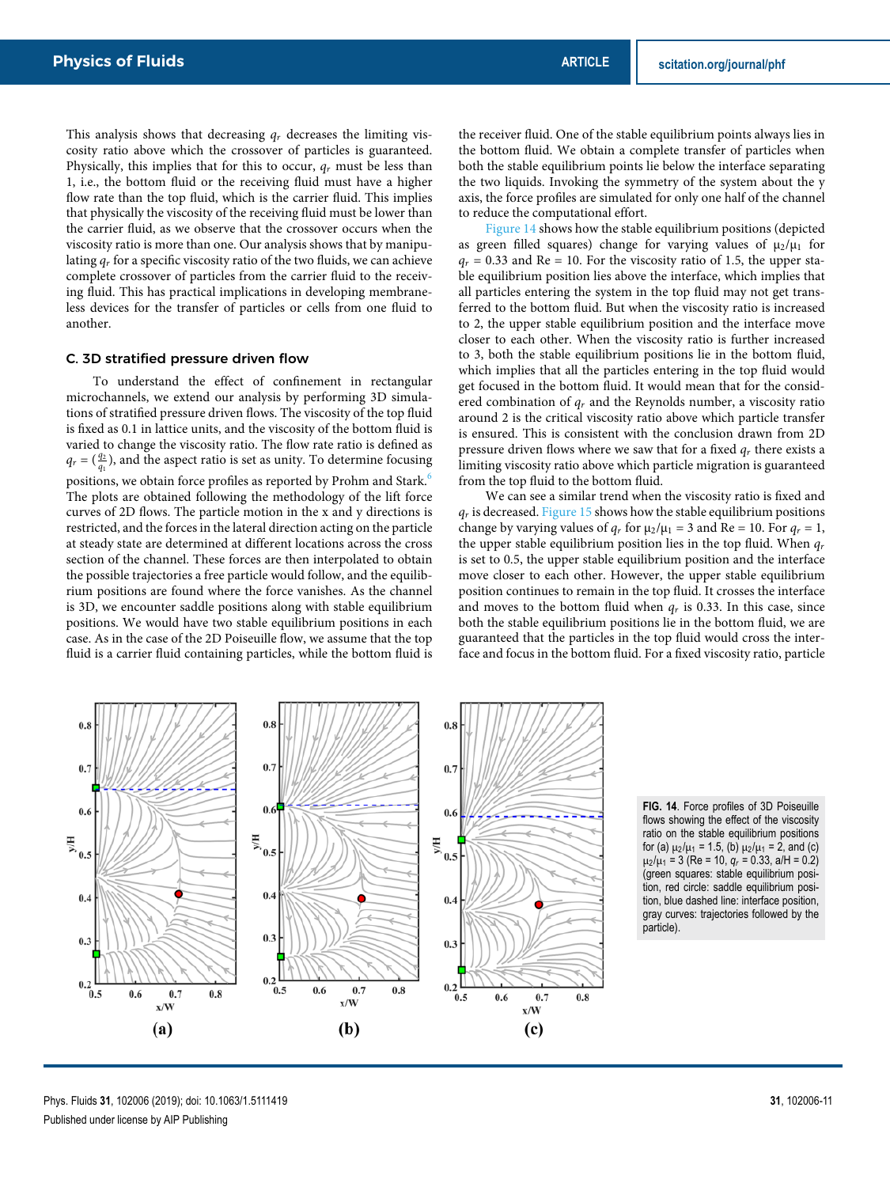This analysis shows that decreasing *q<sup>r</sup>* decreases the limiting viscosity ratio above which the crossover of particles is guaranteed. Physically, this implies that for this to occur,  $q_r$  must be less than 1, i.e., the bottom fluid or the receiving fluid must have a higher flow rate than the top fluid, which is the carrier fluid. This implies that physically the viscosity of the receiving fluid must be lower than the carrier fluid, as we observe that the crossover occurs when the viscosity ratio is more than one. Our analysis shows that by manipulating  $q_r$  for a specific viscosity ratio of the two fluids, we can achieve complete crossover of particles from the carrier fluid to the receiving fluid. This has practical implications in developing membraneless devices for the transfer of particles or cells from one fluid to another.

## C. 3D stratified pressure driven flow

To understand the effect of confinement in rectangular microchannels, we extend our analysis by performing 3D simulations of stratified pressure driven flows. The viscosity of the top fluid is fixed as 0.1 in lattice units, and the viscosity of the bottom fluid is varied to change the viscosity ratio. The flow rate ratio is defined as  $q_r = (\frac{q_2}{q_1})$ , and the aspect ratio is set as unity. To determine focusing positions, we obtain force profiles as reported by Prohm and Stark.<sup>6</sup> The plots are obtained following the methodology of the lift force curves of 2D flows. The particle motion in the x and y directions is restricted, and the forces in the lateral direction acting on the particle at steady state are determined at different locations across the cross section of the channel. These forces are then interpolated to obtain the possible trajectories a free particle would follow, and the equilibrium positions are found where the force vanishes. As the channel is 3D, we encounter saddle positions along with stable equilibrium positions. We would have two stable equilibrium positions in each case. As in the case of the 2D Poiseuille flow, we assume that the top fluid is a carrier fluid containing particles, while the bottom fluid is the receiver fluid. One of the stable equilibrium points always lies in the bottom fluid. We obtain a complete transfer of particles when both the stable equilibrium points lie below the interface separating the two liquids. Invoking the symmetry of the system about the y axis, the force profiles are simulated for only one half of the channel to reduce the computational effort.

Figure 14 shows how the stable equilibrium positions (depicted as green filled squares) change for varying values of  $\mu_2/\mu_1$  for  $q_r$  = 0.33 and Re = 10. For the viscosity ratio of 1.5, the upper stable equilibrium position lies above the interface, which implies that all particles entering the system in the top fluid may not get transferred to the bottom fluid. But when the viscosity ratio is increased to 2, the upper stable equilibrium position and the interface move closer to each other. When the viscosity ratio is further increased to 3, both the stable equilibrium positions lie in the bottom fluid, which implies that all the particles entering in the top fluid would get focused in the bottom fluid. It would mean that for the considered combination of *q<sup>r</sup>* and the Reynolds number, a viscosity ratio around 2 is the critical viscosity ratio above which particle transfer is ensured. This is consistent with the conclusion drawn from 2D pressure driven flows where we saw that for a fixed *q<sup>r</sup>* there exists a limiting viscosity ratio above which particle migration is guaranteed from the top fluid to the bottom fluid.

We can see a similar trend when the viscosity ratio is fixed and *q<sup>r</sup>* is decreased. Figure 15 shows how the stable equilibrium positions change by varying values of  $q_r$  for  $\mu_2/\mu_1 = 3$  and Re = 10. For  $q_r = 1$ , the upper stable equilibrium position lies in the top fluid. When *q<sup>r</sup>* is set to 0.5, the upper stable equilibrium position and the interface move closer to each other. However, the upper stable equilibrium position continues to remain in the top fluid. It crosses the interface and moves to the bottom fluid when  $q_r$  is 0.33. In this case, since both the stable equilibrium positions lie in the bottom fluid, we are guaranteed that the particles in the top fluid would cross the interface and focus in the bottom fluid. For a fixed viscosity ratio, particle



**FIG. 14**. Force profiles of 3D Poiseuille flows showing the effect of the viscosity ratio on the stable equilibrium positions for (a)  $\mu_2/\mu_1 = 1.5$ , (b)  $\mu_2/\mu_1 = 2$ , and (c)  $\mu_2/\mu_1 = 3$  (Re = 10,  $q_r = 0.33$ , a/H = 0.2) (green squares: stable equilibrium position, red circle: saddle equilibrium position, blue dashed line: interface position, gray curves: trajectories followed by the particle).

Phys. Fluids **31**, 102006 (2019); doi: 10.1063/1.5111419 **31**, 102006-11 Published under license by AIP Publishing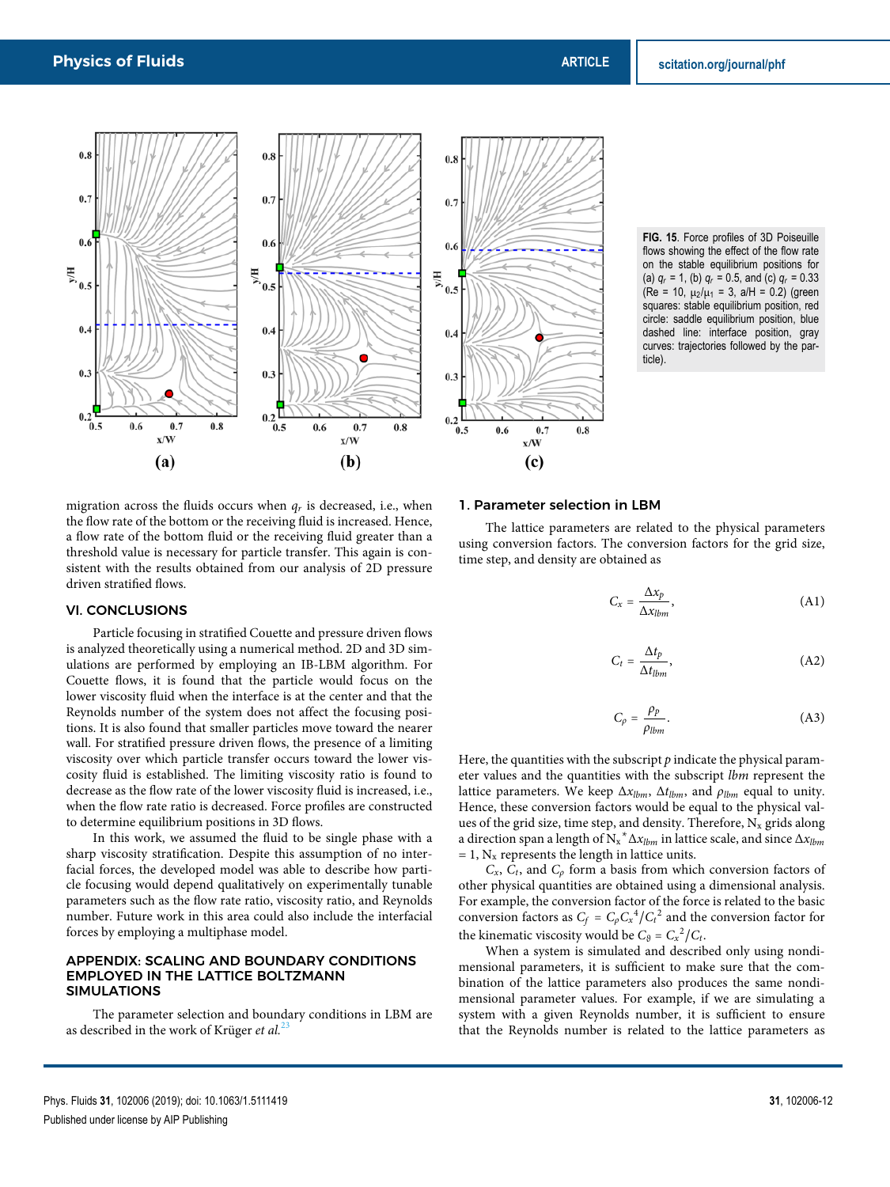

**FIG. 15**. Force profiles of 3D Poiseuille flows showing the effect of the flow rate on the stable equilibrium positions for (a)  $q_r = 1$ , (b)  $q_r = 0.5$ , and (c)  $q_r = 0.33$ (Re = 10,  $\mu_2/\mu_1$  = 3, a/H = 0.2) (green squares: stable equilibrium position, red circle: saddle equilibrium position, blue dashed line: interface position, gray curves: trajectories followed by the particle).

migration across the fluids occurs when  $q_r$  is decreased, i.e., when the flow rate of the bottom or the receiving fluid is increased. Hence, a flow rate of the bottom fluid or the receiving fluid greater than a threshold value is necessary for particle transfer. This again is consistent with the results obtained from our analysis of 2D pressure driven stratified flows.

## VI. CONCLUSIONS

Particle focusing in stratified Couette and pressure driven flows is analyzed theoretically using a numerical method. 2D and 3D simulations are performed by employing an IB-LBM algorithm. For Couette flows, it is found that the particle would focus on the lower viscosity fluid when the interface is at the center and that the Reynolds number of the system does not affect the focusing positions. It is also found that smaller particles move toward the nearer wall. For stratified pressure driven flows, the presence of a limiting viscosity over which particle transfer occurs toward the lower viscosity fluid is established. The limiting viscosity ratio is found to decrease as the flow rate of the lower viscosity fluid is increased, i.e., when the flow rate ratio is decreased. Force profiles are constructed to determine equilibrium positions in 3D flows.

In this work, we assumed the fluid to be single phase with a sharp viscosity stratification. Despite this assumption of no interfacial forces, the developed model was able to describe how particle focusing would depend qualitatively on experimentally tunable parameters such as the flow rate ratio, viscosity ratio, and Reynolds number. Future work in this area could also include the interfacial forces by employing a multiphase model.

#### APPENDIX: SCALING AND BOUNDARY CONDITIONS EMPLOYED IN THE LATTICE BOLTZMANN SIMULATIONS

The parameter selection and boundary conditions in LBM are as described in the work of Krüger *et al.*<sup>22</sup>

#### 1. Parameter selection in LBM

The lattice parameters are related to the physical parameters using conversion factors. The conversion factors for the grid size, time step, and density are obtained as

$$
C_x = \frac{\Delta x_p}{\Delta x_{lbm}},\tag{A1}
$$

$$
C_t = \frac{\Delta t_p}{\Delta t_{lbm}},\tag{A2}
$$

$$
C_{\rho} = \frac{\rho_p}{\rho_{lbm}}.\tag{A3}
$$

Here, the quantities with the subscript *p* indicate the physical parameter values and the quantities with the subscript *lbm* represent the lattice parameters. We keep  $\Delta x_{lbm}$ ,  $\Delta t_{lbm}$ , and  $\rho_{lbm}$  equal to unity. Hence, these conversion factors would be equal to the physical values of the grid size, time step, and density. Therefore,  $N_x$  grids along a direction span a length of N<sup>x</sup> <sup>∗</sup>Δ*xlbm* in lattice scale, and since Δ*xlbm*  $= 1$ ,  $N_x$  represents the length in lattice units.

 $C_x$ ,  $C_t$ , and  $C_\rho$  form a basis from which conversion factors of other physical quantities are obtained using a dimensional analysis. For example, the conversion factor of the force is related to the basic conversion factors as  $C_f = C_p C_x^4 / C_t^2$  and the conversion factor for the kinematic viscosity would be  $C_9 = C_x^2/C_t$ .

When a system is simulated and described only using nondimensional parameters, it is sufficient to make sure that the combination of the lattice parameters also produces the same nondimensional parameter values. For example, if we are simulating a system with a given Reynolds number, it is sufficient to ensure that the Reynolds number is related to the lattice parameters as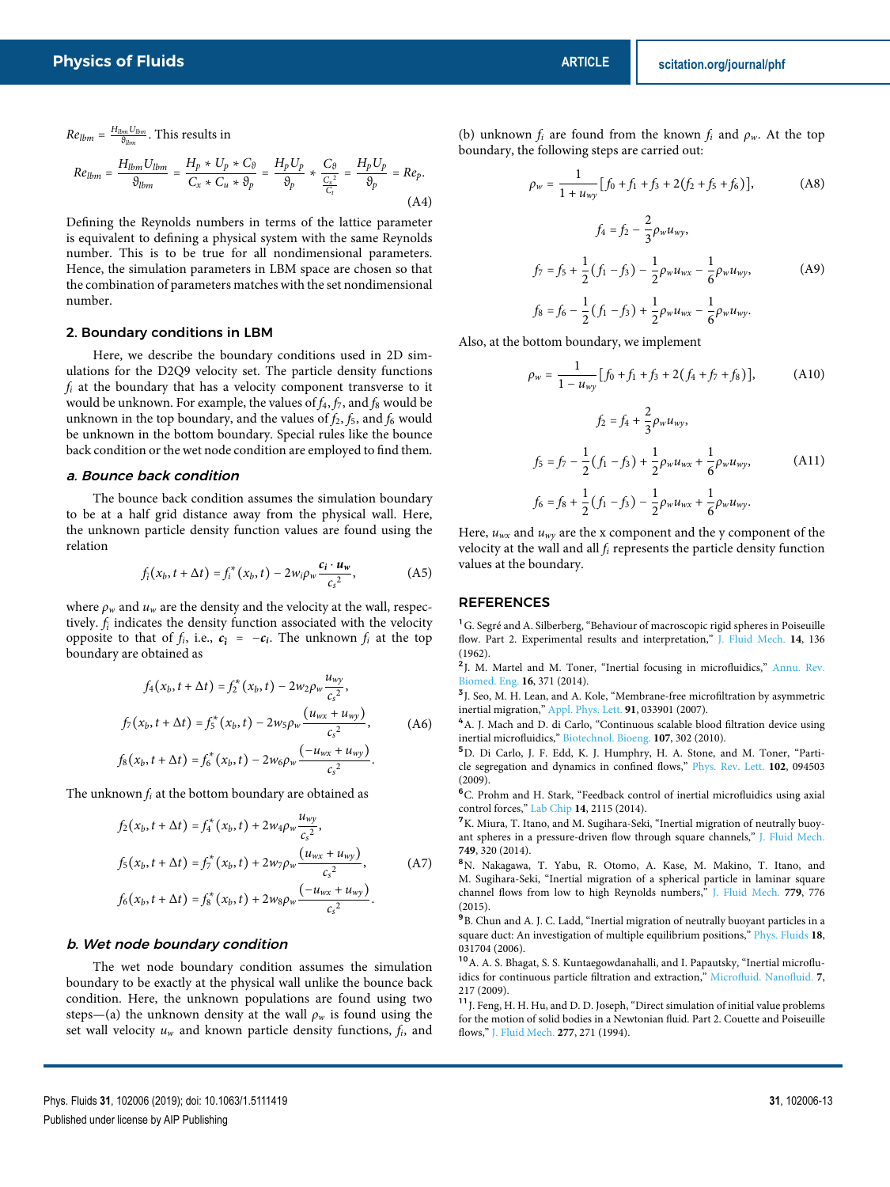$Re_{lbm} = \frac{H_{lbm} U_{lbm}}{9_{lbm}}$ . This results in

$$
Re_{lbm} = \frac{H_{lbm} U_{lbm}}{\vartheta_{lbm}} = \frac{H_p * U_p * C_{\vartheta}}{C_x * C_u * \vartheta_p} = \frac{H_p U_p}{\vartheta_p} * \frac{C_{\vartheta}}{\frac{C_x^2}{C_t}} = \frac{H_p U_p}{\vartheta_p} = Re_p.
$$
\n(A4)

Defining the Reynolds numbers in terms of the lattice parameter is equivalent to defining a physical system with the same Reynolds number. This is to be true for all nondimensional parameters. Hence, the simulation parameters in LBM space are chosen so that the combination of parameters matches with the set nondimensional number.

## 2. Boundary conditions in LBM

Here, we describe the boundary conditions used in 2D simulations for the D2Q9 velocity set. The particle density functions *f<sup>i</sup>* at the boundary that has a velocity component transverse to it would be unknown. For example, the values of  $f_4$ ,  $f_7$ , and  $f_8$  would be unknown in the top boundary, and the values of  $f_2$ ,  $f_5$ , and  $f_6$  would be unknown in the bottom boundary. Special rules like the bounce back condition or the wet node condition are employed to find them.

#### a. Bounce back condition

The bounce back condition assumes the simulation boundary to be at a half grid distance away from the physical wall. Here, the unknown particle density function values are found using the relation

$$
f_i(x_b, t + \Delta t) = f_i^*(x_b, t) - 2w_i \rho_w \frac{c_i \cdot u_w}{c_s^2},
$$
 (A5)

where  $\rho_w$  and  $u_w$  are the density and the velocity at the wall, respectively.  $f_i$  indicates the density function associated with the velocity opposite to that of *f<sub>i</sub>*, i.e.,  $c_i = -c_i$ . The unknown *f<sub>i</sub>* at the top boundary are obtained as

$$
f_4(x_b, t + \Delta t) = f_2^*(x_b, t) - 2w_2 \rho_w \frac{u_{wy}}{c_s^2},
$$
  
\n
$$
f_7(x_b, t + \Delta t) = f_5^*(x_b, t) - 2w_5 \rho_w \frac{(u_{wx} + u_{wy})}{c_s^2},
$$
  
\n
$$
f_8(x_b, t + \Delta t) = f_6^*(x_b, t) - 2w_6 \rho_w \frac{(-u_{wx} + u_{wy})}{c_s^2}.
$$
\n(A6)

The unknown  $f_i$  at the bottom boundary are obtained as

$$
f_2(x_b, t + \Delta t) = f_4^*(x_b, t) + 2w_4 \rho_w \frac{u_{wy}}{c_s^2},
$$
  
\n
$$
f_5(x_b, t + \Delta t) = f_7^*(x_b, t) + 2w_7 \rho_w \frac{(u_{wx} + u_{wy})}{c_s^2},
$$
  
\n
$$
f_6(x_b, t + \Delta t) = f_8^*(x_b, t) + 2w_8 \rho_w \frac{(-u_{wx} + u_{wy})}{c_s^2}.
$$
 (A7)

#### b. Wet node boundary condition

The wet node boundary condition assumes the simulation boundary to be exactly at the physical wall unlike the bounce back condition. Here, the unknown populations are found using two steps—(a) the unknown density at the wall  $\rho_w$  is found using the set wall velocity *u<sup>w</sup>* and known particle density functions, *fi*, and (b) unknown  $f_i$  are found from the known  $f_i$  and  $\rho_w$ . At the top boundary, the following steps are carried out:

$$
\rho_w = \frac{1}{1 + u_{wy}} [f_0 + f_1 + f_3 + 2(f_2 + f_5 + f_6)],
$$
 (A8)

$$
f_4 = f_2 - \frac{2}{3} \rho_w u_{wy},
$$
  
\n
$$
f_7 = f_5 + \frac{1}{2} (f_1 - f_3) - \frac{1}{2} \rho_w u_{wx} - \frac{1}{6} \rho_w u_{wy},
$$
\n
$$
f_8 = f_6 - \frac{1}{2} (f_1 - f_3) + \frac{1}{2} \rho_w u_{wx} - \frac{1}{6} \rho_w u_{wy}.
$$
\n(A9)

Also, at the bottom boundary, we implement

$$
\rho_w = \frac{1}{1 - u_{wy}} [f_0 + f_1 + f_3 + 2(f_4 + f_7 + f_8)],
$$
\n(A10)  
\n
$$
f_2 = f_4 + \frac{2}{3} \rho_w u_{wy},
$$
\n
$$
f_5 = f_7 - \frac{1}{2} (f_1 - f_3) + \frac{1}{2} \rho_w u_{wx} + \frac{1}{6} \rho_w u_{wy},
$$
\n(A11)  
\n
$$
f_6 = f_8 + \frac{1}{2} (f_1 - f_3) - \frac{1}{2} \rho_w u_{wx} + \frac{1}{6} \rho_w u_{wy}.
$$

Here,  $u_{wx}$  and  $u_{wy}$  are the x component and the y component of the velocity at the wall and all *f<sup>i</sup>* represents the particle density function values at the boundary.

#### REFERENCES

<sup>1</sup>G. Segré and A. Silberberg, "Behaviour of macroscopic rigid spheres in Poiseuille flow. Part 2. Experimental results and interpretation," J. Fluid Mech. **14**, 136 (1962).

<sup>2</sup>J. M. Martel and M. Toner, "Inertial focusing in microfluidics," Annu. Rev. Biomed. Eng. **16**, 371 (2014).

<sup>3</sup> J. Seo, M. H. Lean, and A. Kole, "Membrane-free microfiltration by asymmetric inertial migration," Appl. Phys. Lett. **91**, 033901 (2007).

<sup>4</sup>A. J. Mach and D. di Carlo, "Continuous scalable blood filtration device using inertial microfluidics," Biotechnol. Bioeng. **107**, 302 (2010).

<sup>5</sup>D. Di Carlo, J. F. Edd, K. J. Humphry, H. A. Stone, and M. Toner, "Particle segregation and dynamics in confined flows," Phys. Rev. Lett. **102**, 094503 (2009).

<sup>6</sup>C. Prohm and H. Stark, "Feedback control of inertial microfluidics using axial control forces," Lab Chip **14**, 2115 (2014).

<sup>7</sup>K. Miura, T. Itano, and M. Sugihara-Seki, "Inertial migration of neutrally buoyant spheres in a pressure-driven flow through square channels," J. Fluid Mech. **749**, 320 (2014).

<sup>8</sup>N. Nakagawa, T. Yabu, R. Otomo, A. Kase, M. Makino, T. Itano, and M. Sugihara-Seki, "Inertial migration of a spherical particle in laminar square channel flows from low to high Reynolds numbers," J. Fluid Mech. **779**, 776 (2015).

9 B. Chun and A. J. C. Ladd, "Inertial migration of neutrally buoyant particles in a square duct: An investigation of multiple equilibrium positions," Phys. Fluids **18**, 031704 (2006).

<sup>10</sup>A. A. S. Bhagat, S. S. Kuntaegowdanahalli, and I. Papautsky, "Inertial microfluidics for continuous particle filtration and extraction," Microfluid. Nanofluid. **7**, 217 (2009).

 $\boldsymbol{^{11}}$  J. Feng, H. H. Hu, and D. D. Joseph, "Direct simulation of initial value problems for the motion of solid bodies in a Newtonian fluid. Part 2. Couette and Poiseuille flows," J. Fluid Mech. **277**, 271 (1994).